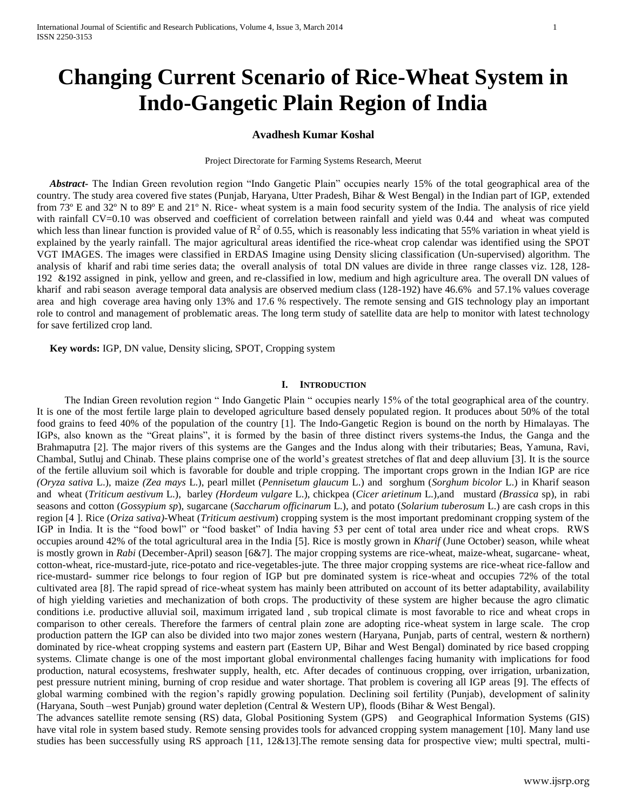# **Changing Current Scenario of Rice-Wheat System in Indo-Gangetic Plain Region of India**

## **Avadhesh Kumar Koshal**

#### Project Directorate for Farming Systems Research, Meerut

 *Abstract***-** The Indian Green revolution region "Indo Gangetic Plain" occupies nearly 15% of the total geographical area of the country. The study area covered five states (Punjab, Haryana, Utter Pradesh, Bihar & West Bengal) in the Indian part of IGP, extended from 73º E and 32º N to 89º E and 21º N. Rice- wheat system is a main food security system of the India. The analysis of rice yield with rainfall CV=0.10 was observed and coefficient of correlation between rainfall and yield was 0.44 and wheat was computed which less than linear function is provided value of  $R^2$  of 0.55, which is reasonably less indicating that 55% variation in wheat yield is explained by the yearly rainfall. The major agricultural areas identified the rice-wheat crop calendar was identified using the SPOT VGT IMAGES. The images were classified in ERDAS Imagine using Density slicing classification (Un-supervised) algorithm. The analysis of kharif and rabi time series data; the overall analysis of total DN values are divide in three range classes viz. 128, 128- 192 &192 assigned in pink, yellow and green, and re-classified in low, medium and high agriculture area. The overall DN values of kharif and rabi season average temporal data analysis are observed medium class (128-192) have 46.6% and 57.1% values coverage area and high coverage area having only 13% and 17.6 % respectively. The remote sensing and GIS technology play an important role to control and management of problematic areas. The long term study of satellite data are help to monitor with latest technology for save fertilized crop land.

 **Key words:** IGP, DN value, Density slicing, SPOT, Cropping system

## **I. INTRODUCTION**

The Indian Green revolution region " Indo Gangetic Plain " occupies nearly 15% of the total geographical area of the country. It is one of the most fertile large plain to developed agriculture based densely populated region. It produces about 50% of the total food grains to feed 40% of the population of the country [1]. The Indo-Gangetic Region is bound on the north by Himalayas. The IGPs, also known as the "Great plains", it is formed by the basin of three distinct rivers systems-the Indus, the Ganga and the Brahmaputra [2]. The major rivers of this systems are the Ganges and the Indus along with their tributaries; Beas, Yamuna, Ravi, Chambal, Sutluj and Chinab. These plains comprise one of the world's greatest stretches of flat and deep alluvium [3]. It is the source of the fertile alluvium soil which is favorable for double and triple cropping. The important crops grown in the Indian IGP are rice *(Oryza sativa* L.), maize *(Zea mays* L.), pearl millet (*Pennisetum glaucum* L.) and sorghum (*Sorghum bicolor* L.) in Kharif season and wheat (*Triticum aestivum* L.), barley *(Hordeum vulgare* L.), chickpea (*Cicer arietinum* L.),and mustard *(Brassica* sp), in rabi seasons and cotton (*Gossypium sp*), sugarcane (*Saccharum officinarum* L.), and potato (*Solarium tuberosum* L.) are cash crops in this region [4 ]. Rice (*Oriza sativa)-*Wheat (*Triticum aestivum*) cropping system is the most important predominant cropping system of the IGP in India. It is the "food bowl" or "food basket" of India having 53 per cent of total area under rice and wheat crops. RWS occupies around 42% of the total agricultural area in the India [5]. Rice is mostly grown in *Kharif* (June October) season, while wheat is mostly grown in *Rabi* (December-April) season [6&7]. The major cropping systems are rice-wheat, maize-wheat, sugarcane- wheat, cotton-wheat, rice-mustard-jute, rice-potato and rice-vegetables-jute. The three major cropping systems are rice-wheat rice-fallow and rice-mustard- summer rice belongs to four region of IGP but pre dominated system is rice-wheat and occupies 72% of the total cultivated area [8]. The rapid spread of rice-wheat system has mainly been attributed on account of its better adaptability, availability of high yielding varieties and mechanization of both crops. The productivity of these system are higher because the agro climatic conditions i.e. productive alluvial soil, maximum irrigated land , sub tropical climate is most favorable to rice and wheat crops in comparison to other cereals. Therefore the farmers of central plain zone are adopting rice-wheat system in large scale. The crop production pattern the IGP can also be divided into two major zones western (Haryana, Punjab, parts of central, western & northern) dominated by rice-wheat cropping systems and eastern part (Eastern UP, Bihar and West Bengal) dominated by rice based cropping systems. Climate change is one of the most important global environmental challenges facing humanity with implications for food production, natural ecosystems, freshwater supply, health, etc. After decades of continuous cropping, over irrigation, urbanization, pest pressure nutrient mining, burning of crop residue and water shortage. That problem is covering all IGP areas [9]. The effects of global warming combined with the region's rapidly growing population. Declining soil fertility (Punjab), development of salinity (Haryana, South –west Punjab) ground water depletion (Central & Western UP), floods (Bihar & West Bengal).

The advances satellite remote sensing (RS) data, Global Positioning System (GPS) and Geographical Information Systems (GIS) have vital role in system based study. Remote sensing provides tools for advanced cropping system management [10]. Many land use studies has been successfully using RS approach [11, 12&13].The remote sensing data for prospective view; multi spectral, multi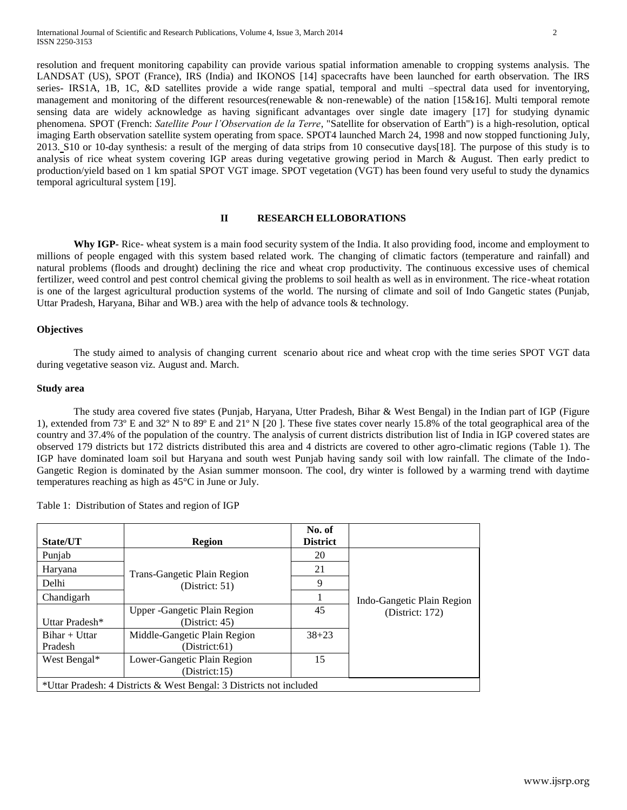resolution and frequent monitoring capability can provide various spatial information amenable to cropping systems analysis. The LANDSAT (US), SPOT (France), IRS (India) and IKONOS [14] spacecrafts have been launched for earth observation. The IRS series- IRS1A, 1B, 1C, &D satellites provide a wide range spatial, temporal and multi –spectral data used for inventorying, management and monitoring of the different resources(renewable & non-renewable) of the nation [15&16]. Multi temporal remote sensing data are widely acknowledge as having significant advantages over single date imagery [17] for studying dynamic phenomena. SPOT (French: *Satellite Pour l'Observation de la Terre*, "Satellite for observation of Earth") is a high-resolution, optical imaging Earth observation satellite system operating from space. SPOT4 launched March 24, 1998 and now stopped functioning July, 2013. S10 or 10-day synthesis: a result of the merging of data strips from 10 consecutive days[18]. The purpose of this study is to analysis of rice wheat system covering IGP areas during vegetative growing period in March & August. Then early predict to production/yield based on 1 km spatial SPOT VGT image. SPOT vegetation (VGT) has been found very useful to study the dynamics temporal agricultural system [19].

## **II RESEARCH ELLOBORATIONS**

**Why IGP-** Rice- wheat system is a main food security system of the India. It also providing food, income and employment to millions of people engaged with this system based related work. The changing of climatic factors (temperature and rainfall) and natural problems (floods and drought) declining the rice and wheat crop productivity. The continuous excessive uses of chemical fertilizer, weed control and pest control chemical giving the problems to soil health as well as in environment. The rice-wheat rotation is one of the largest agricultural production systems of the world. The nursing of climate and soil of Indo Gangetic states (Punjab, Uttar Pradesh, Haryana, Bihar and WB.) area with the help of advance tools & technology.

#### **Objectives**

The study aimed to analysis of changing current scenario about rice and wheat crop with the time series SPOT VGT data during vegetative season viz. August and. March.

#### **Study area**

The study area covered five states (Punjab, Haryana, Utter Pradesh, Bihar & West Bengal) in the Indian part of IGP (Figure 1), extended from 73º E and 32º N to 89º E and 21º N [20 ]. These five states cover nearly 15.8% of the total geographical area of the country and 37.4% of the population of the country. The analysis of current districts distribution list of India in IGP covered states are observed 179 districts but 172 districts distributed this area and 4 districts are covered to other agro-climatic regions (Table 1). The IGP have dominated loam soil but Haryana and south west Punjab having sandy soil with low rainfall. The climate of the Indo-Gangetic Region is dominated by the Asian summer monsoon. The cool, dry winter is followed by a warming trend with daytime temperatures reaching as high as 45°C in June or July.

| Table 1: Distribution of States and region of IGP |  |
|---------------------------------------------------|--|
|---------------------------------------------------|--|

| State/UT                                                            | <b>Region</b>                                   | No. of<br><b>District</b> |                            |  |
|---------------------------------------------------------------------|-------------------------------------------------|---------------------------|----------------------------|--|
| Punjab                                                              |                                                 | 20                        |                            |  |
| Haryana                                                             | Trans-Gangetic Plain Region                     | 21                        |                            |  |
| Delhi                                                               | (Distric: 51)                                   | 9                         |                            |  |
| Chandigarh                                                          |                                                 |                           | Indo-Gangetic Plain Region |  |
| Uttar Pradesh*                                                      | Upper - Gangetic Plain Region<br>(District: 45) | 45                        | (District: $172$ )         |  |
| $Bihar + Uftar$<br>Pradesh                                          | Middle-Gangetic Plain Region<br>(District:61)   | $38 + 23$                 |                            |  |
| West Bengal*                                                        | Lower-Gangetic Plain Region<br>(District:15)    | 15                        |                            |  |
| *Uttar Pradesh: 4 Districts & West Bengal: 3 Districts not included |                                                 |                           |                            |  |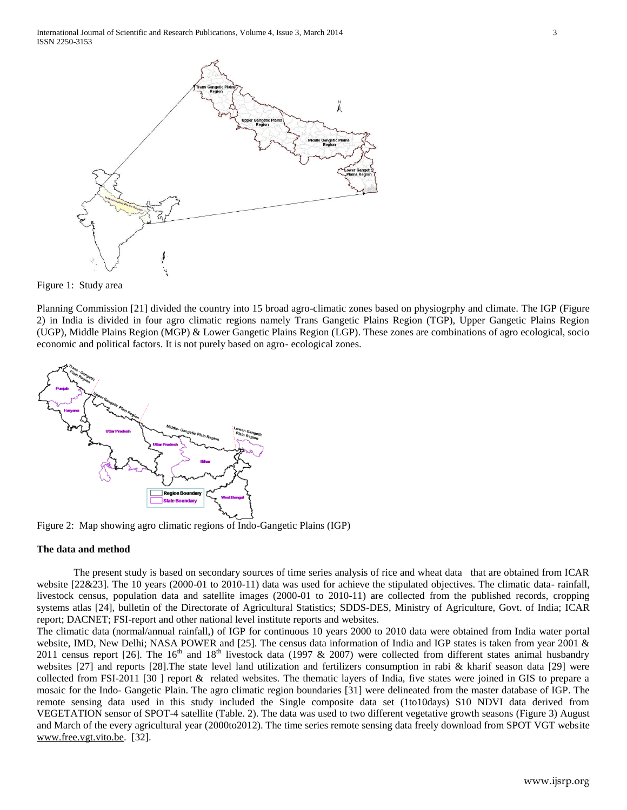



Planning Commission [21] divided the country into 15 broad agro-climatic zones based on physiogrphy and climate. The IGP (Figure 2) in India is divided in four agro climatic regions namely Trans Gangetic Plains Region (TGP), Upper Gangetic Plains Region (UGP), Middle Plains Region (MGP) & Lower Gangetic Plains Region (LGP). These zones are combinations of agro ecological, socio economic and political factors. It is not purely based on agro- ecological zones.



Figure 2: Map showing agro climatic regions of Indo-Gangetic Plains (IGP)

#### **The data and method**

The present study is based on secondary sources of time series analysis of rice and wheat data that are obtained from ICAR website [22&23]. The 10 years (2000-01 to 2010-11) data was used for achieve the stipulated objectives. The climatic data- rainfall, livestock census, population data and satellite images (2000-01 to 2010-11) are collected from the published records, cropping systems atlas [24], bulletin of the Directorate of Agricultural Statistics; SDDS-DES, Ministry of Agriculture, Govt. of India; ICAR report; DACNET; FSI-report and other national level institute reports and websites.

The climatic data (normal/annual rainfall,) of IGP for continuous 10 years 2000 to 2010 data were obtained from India water portal website, IMD, New Delhi; NASA POWER and [25]. The census data information of India and IGP states is taken from year 2001 & 2011 census report [26]. The  $16<sup>th</sup>$  and  $18<sup>th</sup>$  livestock data (1997 & 2007) were collected from different states animal husbandry websites [27] and reports [28].The state level land utilization and fertilizers consumption in rabi & kharif season data [29] were collected from FSI-2011 [30 ] report & related websites. The thematic layers of India, five states were joined in GIS to prepare a mosaic for the Indo- Gangetic Plain. The agro climatic region boundaries [31] were delineated from the master database of IGP. The remote sensing data used in this study included the Single composite data set (1to10days) S10 NDVI data derived from VEGETATION sensor of SPOT-4 satellite (Table. 2). The data was used to two different vegetative growth seasons (Figure 3) August and March of the every agricultural year (2000to2012). The time series remote sensing data freely download from SPOT VGT website [www.free.vgt.vito.be.](http://www.free.vgt.vito.be/) [32].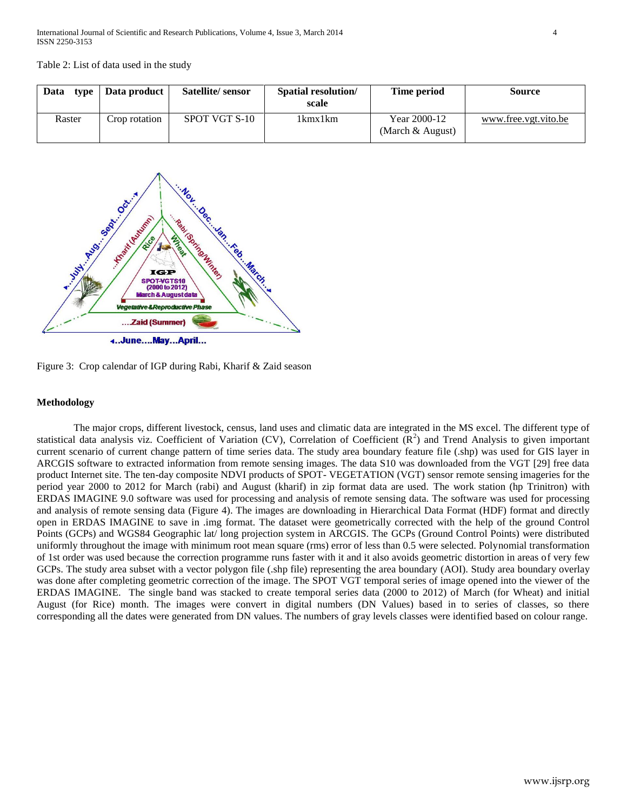Table 2: List of data used in the study

| Data<br>type | Data product  | Satellite/sensor | <b>Spatial resolution</b> /<br>scale | Time period                        | Source               |
|--------------|---------------|------------------|--------------------------------------|------------------------------------|----------------------|
| Raster       | Crop rotation | SPOT VGT S-10    | 1 kmx 1 km                           | Year 2000-12<br>(March $&$ August) | www.free.vgt.vito.be |



Figure 3: Crop calendar of IGP during Rabi, Kharif & Zaid season

#### **Methodology**

The major crops, different livestock, census, land uses and climatic data are integrated in the MS excel. The different type of statistical data analysis viz. Coefficient of Variation (CV), Correlation of Coefficient  $(R^2)$  and Trend Analysis to given important current scenario of current change pattern of time series data. The study area boundary feature file (.shp) was used for GIS layer in ARCGIS software to extracted information from remote sensing images. The data S10 was downloaded from the VGT [29] free data product Internet site. The ten-day composite NDVI products of SPOT- VEGETATION (VGT) sensor remote sensing imageries for the period year 2000 to 2012 for March (rabi) and August (kharif) in zip format data are used. The work station (hp Trinitron) with ERDAS IMAGINE 9.0 software was used for processing and analysis of remote sensing data. The software was used for processing and analysis of remote sensing data (Figure 4). The images are downloading in Hierarchical Data Format (HDF) format and directly open in ERDAS IMAGINE to save in .img format. The dataset were geometrically corrected with the help of the ground Control Points (GCPs) and WGS84 Geographic lat/ long projection system in ARCGIS. The GCPs (Ground Control Points) were distributed uniformly throughout the image with minimum root mean square (rms) error of less than 0.5 were selected. Polynomial transformation of 1st order was used because the correction programme runs faster with it and it also avoids geometric distortion in areas of very few GCPs. The study area subset with a vector polygon file (.shp file) representing the area boundary (AOI). Study area boundary overlay was done after completing geometric correction of the image. The SPOT VGT temporal series of image opened into the viewer of the ERDAS IMAGINE. The single band was stacked to create temporal series data (2000 to 2012) of March (for Wheat) and initial August (for Rice) month. The images were convert in digital numbers (DN Values) based in to series of classes, so there corresponding all the dates were generated from DN values. The numbers of gray levels classes were identified based on colour range.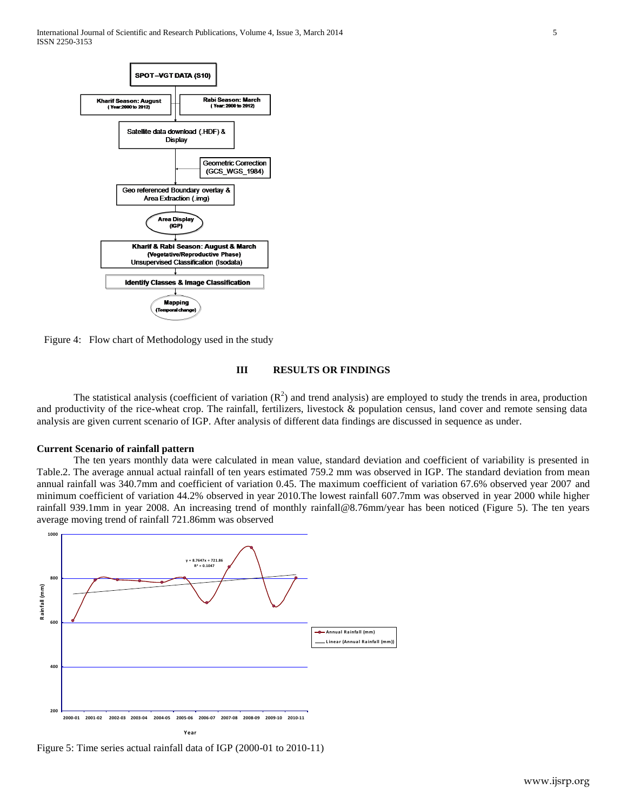International Journal of Scientific and Research Publications, Volume 4, Issue 3, March 2014 5 ISSN 2250-3153



Figure 4: Flow chart of Methodology used in the study

## **III RESULTS OR FINDINGS**

The statistical analysis (coefficient of variation  $(R^2)$  and trend analysis) are employed to study the trends in area, production and productivity of the rice-wheat crop. The rainfall, fertilizers, livestock & population census, land cover and remote sensing data analysis are given current scenario of IGP. After analysis of different data findings are discussed in sequence as under.

## **Current Scenario of rainfall pattern**

The ten years monthly data were calculated in mean value, standard deviation and coefficient of variability is presented in The average annual actual rainfall of ten years estimated 759.2 mm was observed in IGP. The standa Table.2. The average annual actual rainfall of ten years estimated 759.2 mm was observed in IGP. The standard deviation from mean annual rainfall was 340.7mm and coefficient of variation 0.45. The maximum coefficient of variation 67.6% observed year 2007 and minimum coefficient of variation 44.2% observed in year 2010.The lowest rainfall 607.7mm was observed in year 2000 while higher rainfall 939.1mm in year 2008. An increasing trend of monthly [rainfall@8.76mm/year](mailto:rainfall@8.76mm/year) has been noticed (Figure 5). The ten years average moving trend of rainfall 721.86mm was observed



Figure 5: Time series actual rainfall data of IGP (2000-01 to 2010-11)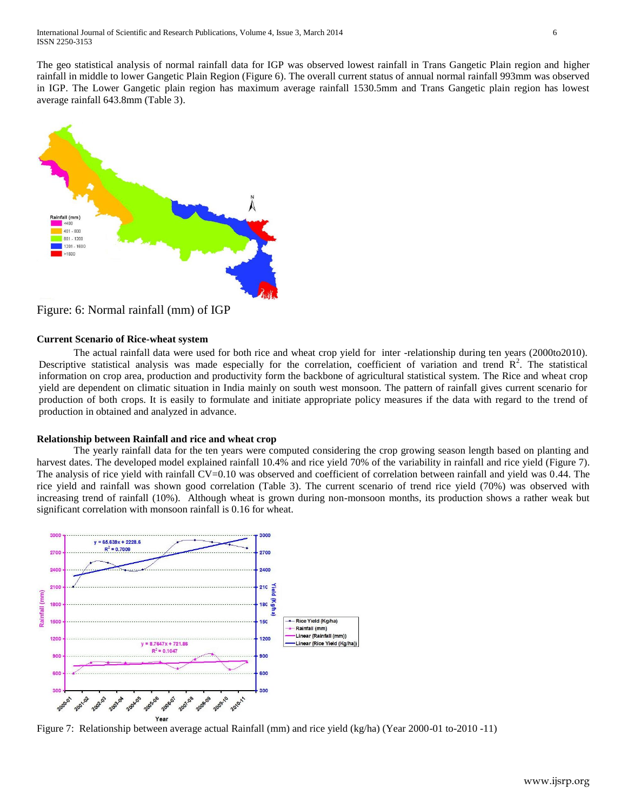The geo statistical analysis of normal rainfall data for IGP was observed lowest rainfall in Trans Gangetic Plain region and higher rainfall in middle to lower Gangetic Plain Region (Figure 6). The overall current status of annual normal rainfall 993mm was observed in IGP. The Lower Gangetic plain region has maximum average rainfall 1530.5mm and Trans Gangetic plain region has lowest average rainfall 643.8mm (Table 3).



Figure: 6: Normal rainfall (mm) of IGP

## **Current Scenario of Rice-wheat system**

The actual rainfall data were used for both rice and wheat crop yield for inter -relationship during ten years (2000to2010). Descriptive statistical analysis was made especially for the correlation, coefficient of variation and trend  $\mathbb{R}^2$ . The statistical information on crop area, production and productivity form the backbone of agricultural statistical system. The Rice and wheat crop yield are dependent on climatic situation in India mainly on south west monsoon. The pattern of rainfall gives current scenario for production of both crops. It is easily to formulate and initiate appropriate policy measures if the data with regard to the trend of production in obtained and analyzed in advance.

## **Relationship between Rainfall and rice and wheat crop**

The yearly rainfall data for the ten years were computed considering the crop growing season length based on planting and harvest dates. The developed model explained rainfall 10.4% and rice yield 70% of the variability in rainfall and rice yield (Figure 7). The analysis of rice yield with rainfall CV=0.10 was observed and coefficient of correlation between rainfall and yield was 0.44. The rice yield and rainfall was shown good correlation (Table 3). The current scenario of trend rice yield (70%) was observed with increasing trend of rainfall (10%). Although wheat is grown during non-monsoon months, its production shows a rather weak but significant correlation with monsoon rainfall is 0.16 for wheat.



Figure 7: Relationship between average actual Rainfall (mm) and rice yield (kg/ha) (Year 2000-01 to-2010 -11)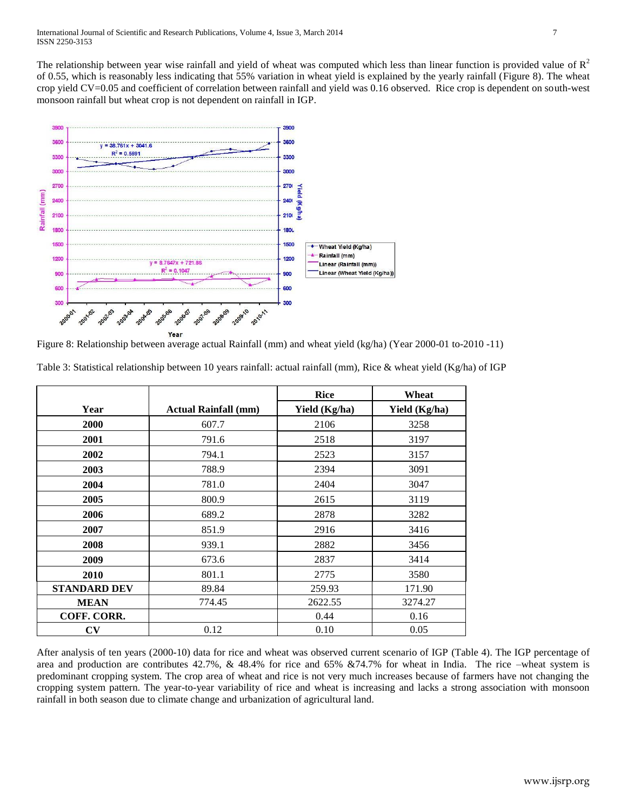The relationship between year wise rainfall and yield of wheat was computed which less than linear function is provided value of  $R<sup>2</sup>$ of 0.55, which is reasonably less indicating that 55% variation in wheat yield is explained by the yearly rainfall (Figure 8). The wheat crop yield CV=0.05 and coefficient of correlation between rainfall and yield was 0.16 observed. Rice crop is dependent on south-west monsoon rainfall but wheat crop is not dependent on rainfall in IGP.



Figure 8: Relationship between average actual Rainfall (mm) and wheat yield (kg/ha) (Year 2000-01 to-2010 -11)

|                     |                             | <b>Rice</b>   | Wheat         |
|---------------------|-----------------------------|---------------|---------------|
| Year                | <b>Actual Rainfall (mm)</b> | Yield (Kg/ha) | Yield (Kg/ha) |
| 2000                | 607.7                       | 2106          | 3258          |
| 2001                | 791.6                       | 2518          | 3197          |
| 2002                | 794.1                       | 2523          | 3157          |
| 2003                | 788.9                       | 2394          | 3091          |
| 2004                | 781.0                       | 2404          | 3047          |
| 2005                | 800.9                       | 2615          | 3119          |
| 2006                | 689.2                       | 2878          | 3282          |
| 2007                | 851.9                       | 2916          | 3416          |
| 2008                | 939.1                       | 2882          | 3456          |
| 2009                | 673.6                       | 2837          | 3414          |
| 2010                | 801.1                       | 2775          | 3580          |
| <b>STANDARD DEV</b> | 89.84                       | 259.93        | 171.90        |
| <b>MEAN</b>         | 774.45                      | 2622.55       | 3274.27       |
| COFF. CORR.         |                             | 0.44          | 0.16          |
| CV                  | 0.12                        | 0.10          | 0.05          |

Table 3: Statistical relationship between 10 years rainfall: actual rainfall (mm), Rice & wheat yield (Kg/ha) of IGP

After analysis of ten years (2000-10) data for rice and wheat was observed current scenario of IGP (Table 4). The IGP percentage of area and production are contributes 42.7%, & 48.4% for rice and 65% &74.7% for wheat in India. The rice –wheat system is predominant cropping system. The crop area of wheat and rice is not very much increases because of farmers have not changing the cropping system pattern. The year-to-year variability of rice and wheat is increasing and lacks a strong association with monsoon rainfall in both season due to climate change and urbanization of agricultural land.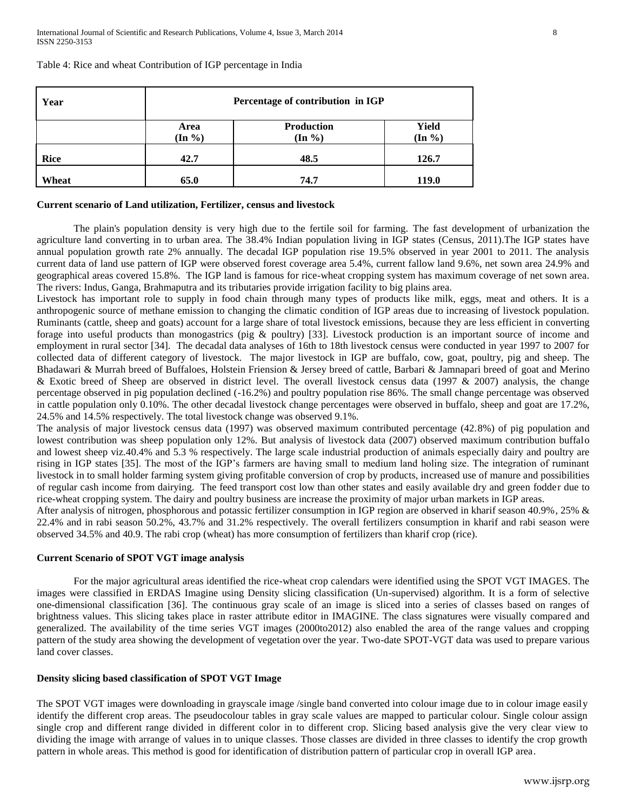| Year  | Percentage of contribution in IGP |                                  |                    |  |  |
|-------|-----------------------------------|----------------------------------|--------------------|--|--|
|       | Area<br>$(In \%)$                 | Production<br>$(\text{In } \% )$ | Yield<br>$(In \%)$ |  |  |
| Rice  | 42.7                              | 48.5                             | 126.7              |  |  |
| Wheat | 65.0                              | 74.7                             | <b>119.0</b>       |  |  |

Table 4: Rice and wheat Contribution of IGP percentage in India

#### **Current scenario of Land utilization, Fertilizer, census and livestock**

The plain's population density is very high due to the fertile soil for farming. The fast development of urbanization the agriculture land converting in to urban area. The 38.4% Indian population living in IGP states (Census, 2011).The IGP states have annual population growth rate 2% annually. The decadal IGP population rise 19.5% observed in year 2001 to 2011. The analysis current data of land use pattern of IGP were observed forest coverage area 5.4%, current fallow land 9.6%, net sown area 24.9% and geographical areas covered 15.8%. The IGP land is famous for rice-wheat cropping system has maximum coverage of net sown area. The rivers: Indus, Ganga, Brahmaputra and its tributaries provide irrigation facility to big plains area.

Livestock has important role to supply in food chain through many types of products like milk, eggs, meat and others. It is a anthropogenic source of methane emission to changing the climatic condition of IGP areas due to increasing of livestock population. Ruminants (cattle, sheep and goats) account for a large share of total livestock emissions, because they are less efficient in converting forage into useful products than monogastrics (pig & poultry) [33]. Livestock production is an important source of income and employment in rural sector [34]. The decadal data analyses of 16th to 18th livestock census were conducted in year 1997 to 2007 for collected data of different category of livestock. The major livestock in IGP are buffalo, cow, goat, poultry, pig and sheep. The Bhadawari & Murrah breed of Buffaloes, Holstein Friension & Jersey breed of cattle, Barbari & Jamnapari breed of goat and Merino & Exotic breed of Sheep are observed in district level. The overall livestock census data (1997 & 2007) analysis, the change percentage observed in pig population declined (-16.2%) and poultry population rise 86%. The small change percentage was observed in cattle population only 0.10%. The other decadal livestock change percentages were observed in buffalo, sheep and goat are 17.2%, 24.5% and 14.5% respectively. The total livestock change was observed 9.1%.

The analysis of major livestock census data (1997) was observed maximum contributed percentage (42.8%) of pig population and lowest contribution was sheep population only 12%. But analysis of livestock data (2007) observed maximum contribution buffalo and lowest sheep viz.40.4% and 5.3 % respectively. The large scale industrial production of animals especially dairy and poultry are rising in IGP states [35]. The most of the IGP's farmers are having small to medium land holing size. The integration of ruminant livestock in to small holder farming system giving profitable conversion of crop by products, increased use of manure and possibilities of regular cash income from dairying. The feed transport cost low than other states and easily available dry and green fodder due to rice-wheat cropping system. The dairy and poultry business are increase the proximity of major urban markets in IGP areas.

After analysis of nitrogen, phosphorous and potassic fertilizer consumption in IGP region are observed in kharif season 40.9%, 25% & 22.4% and in rabi season 50.2%, 43.7% and 31.2% respectively. The overall fertilizers consumption in kharif and rabi season were observed 34.5% and 40.9. The rabi crop (wheat) has more consumption of fertilizers than kharif crop (rice).

#### **Current Scenario of SPOT VGT image analysis**

For the major agricultural areas identified the rice-wheat crop calendars were identified using the SPOT VGT IMAGES. The images were classified in ERDAS Imagine using Density slicing classification (Un-supervised) algorithm. It is a form of selective one-dimensional classification [36]. The continuous gray scale of an image is sliced into a series of classes based on ranges of brightness values. This slicing takes place in raster attribute editor in IMAGINE. The class signatures were visually compared and generalized. The availability of the time series VGT images (2000to2012) also enabled the area of the range values and cropping pattern of the study area showing the development of vegetation over the year. Two-date SPOT-VGT data was used to prepare various land cover classes.

#### **Density slicing based classification of SPOT VGT Image**

The SPOT VGT images were downloading in grayscale image /single band converted into colour image due to in colour image easily identify the different crop areas. The pseudocolour tables in gray scale values are mapped to particular colour. Single colour assign single crop and different range divided in different color in to different crop. Slicing based analysis give the very clear view to dividing the image with arrange of values in to unique classes. Those classes are divided in three classes to identify the crop growth pattern in whole areas. This method is good for identification of distribution pattern of particular crop in overall IGP area.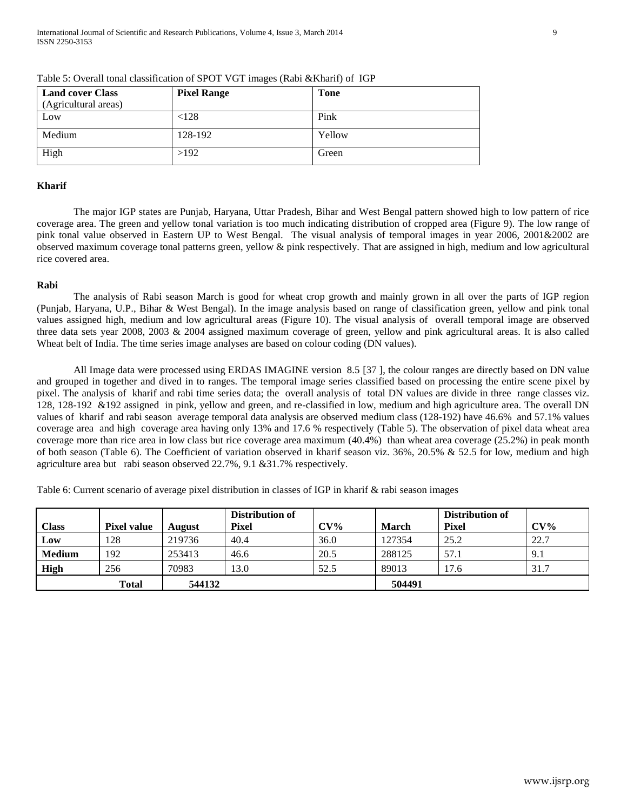| <b>Land cover Class</b> | <b>Pixel Range</b> | <b>Tone</b> |
|-------------------------|--------------------|-------------|
| (Agricultural areas)    |                    |             |
| Low                     | < 128              | Pink        |
| Medium                  | 128-192            | Yellow      |
| High                    | >192               | Green       |

Table 5: Overall tonal classification of SPOT VGT images (Rabi &Kharif) of IGP

## **Kharif**

The major IGP states are Punjab, Haryana, Uttar Pradesh, Bihar and West Bengal pattern showed high to low pattern of rice coverage area. The green and yellow tonal variation is too much indicating distribution of cropped area (Figure 9). The low range of pink tonal value observed in Eastern UP to West Bengal. The visual analysis of temporal images in year 2006, 2001&2002 are observed maximum coverage tonal patterns green, yellow & pink respectively. That are assigned in high, medium and low agricultural rice covered area.

## **Rabi**

The analysis of Rabi season March is good for wheat crop growth and mainly grown in all over the parts of IGP region (Punjab, Haryana, U.P., Bihar & West Bengal). In the image analysis based on range of classification green, yellow and pink tonal values assigned high, medium and low agricultural areas (Figure 10). The visual analysis of overall temporal image are observed three data sets year 2008, 2003 & 2004 assigned maximum coverage of green, yellow and pink agricultural areas. It is also called Wheat belt of India. The time series image analyses are based on colour coding (DN values).

All Image data were processed using ERDAS IMAGINE version 8.5 [37 ], the colour ranges are directly based on DN value and grouped in together and dived in to ranges. The temporal image series classified based on processing the entire scene pixel by pixel. The analysis of kharif and rabi time series data; the overall analysis of total DN values are divide in three range classes viz. 128, 128-192 &192 assigned in pink, yellow and green, and re-classified in low, medium and high agriculture area. The overall DN values of kharif and rabi season average temporal data analysis are observed medium class (128-192) have 46.6% and 57.1% values coverage area and high coverage area having only 13% and 17.6 % respectively (Table 5). The observation of pixel data wheat area coverage more than rice area in low class but rice coverage area maximum (40.4%) than wheat area coverage (25.2%) in peak month of both season (Table 6). The Coefficient of variation observed in kharif season viz. 36%, 20.5% & 52.5 for low, medium and high agriculture area but rabi season observed 22.7%, 9.1 &31.7% respectively.

Table 6: Current scenario of average pixel distribution in classes of IGP in kharif & rabi season images

|               |                    |               | Distribution of |        |        | Distribution of |        |
|---------------|--------------------|---------------|-----------------|--------|--------|-----------------|--------|
| <b>Class</b>  | <b>Pixel value</b> | <b>August</b> | <b>Pixel</b>    | $CV\%$ | March  | <b>Pixel</b>    | $CV\%$ |
| Low           | 128                | 219736        | 40.4            | 36.0   | 127354 | 25.2            | 22.7   |
| <b>Medium</b> | 192                | 253413        | 46.6            | 20.5   | 288125 | 57.1            | 9.1    |
| High          | 256                | 70983         | 13.0            | 52.5   | 89013  | 17.6            | 31.7   |
|               | <b>Total</b>       | 544132        |                 |        | 504491 |                 |        |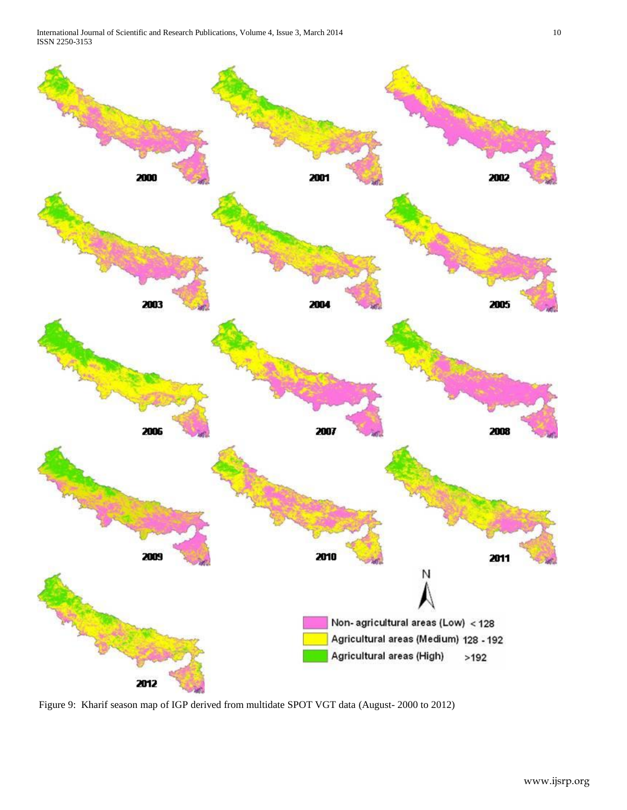International Journal of Scientific and Research Publications, Volume 4, Issue 3, March 2014 10 ISSN 2250-3153



Figure 9: Kharif season map of IGP derived from multidate SPOT VGT data (August- 2000 to 2012)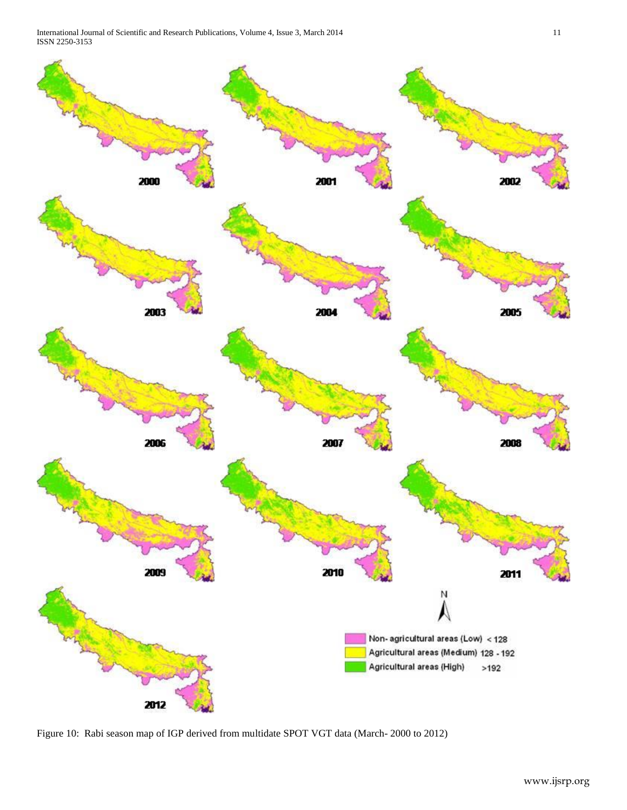International Journal of Scientific and Research Publications, Volume 4, Issue 3, March 2014 11 ISSN 2250-3153



Figure 10: Rabi season map of IGP derived from multidate SPOT VGT data (March- 2000 to 2012)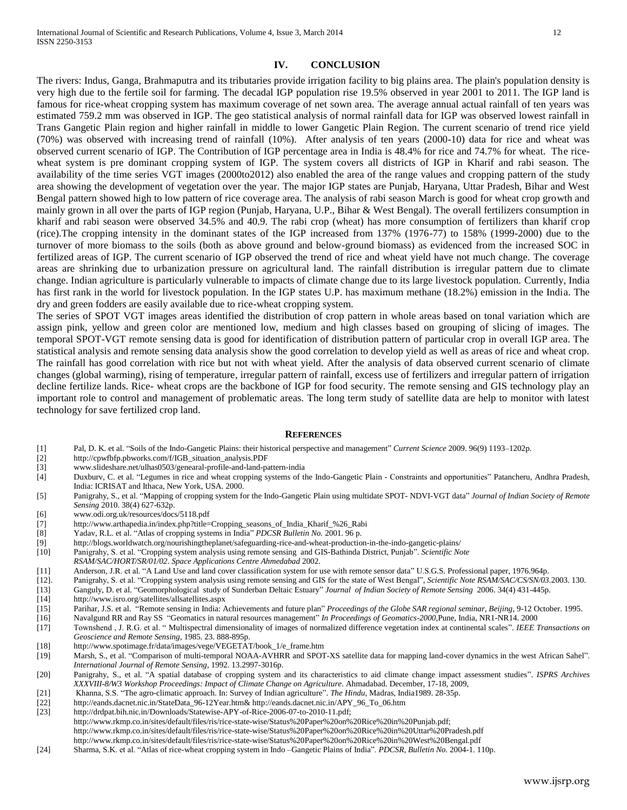# **IV. CONCLUSION**

The rivers: Indus, Ganga, Brahmaputra and its tributaries provide irrigation facility to big plains area. The plain's population density is very high due to the fertile soil for farming. The decadal IGP population rise 19.5% observed in year 2001 to 2011. The IGP land is famous for rice-wheat cropping system has maximum coverage of net sown area. The average annual actual rainfall of ten years was estimated 759.2 mm was observed in IGP. The geo statistical analysis of normal rainfall data for IGP was observed lowest rainfall in Trans Gangetic Plain region and higher rainfall in middle to lower Gangetic Plain Region. The current scenario of trend rice yield (70%) was observed with increasing trend of rainfall (10%). After analysis of ten years (2000-10) data for rice and wheat was observed current scenario of IGP. The Contribution of IGP percentage area in India is 48.4% for rice and 74.7% for wheat. The ricewheat system is pre dominant cropping system of IGP. The system covers all districts of IGP in Kharif and rabi season. The availability of the time series VGT images (2000to2012) also enabled the area of the range values and cropping pattern of the study area showing the development of vegetation over the year. The major IGP states are Punjab, Haryana, Uttar Pradesh, Bihar and West Bengal pattern showed high to low pattern of rice coverage area. The analysis of rabi season March is good for wheat crop growth and mainly grown in all over the parts of IGP region (Punjab, Haryana, U.P., Bihar & West Bengal). The overall fertilizers consumption in kharif and rabi season were observed 34.5% and 40.9. The rabi crop (wheat) has more consumption of fertilizers than kharif crop (rice).The cropping intensity in the dominant states of the IGP increased from 137% (1976-77) to 158% (1999-2000) due to the turnover of more biomass to the soils (both as above ground and below-ground biomass) as evidenced from the increased SOC in fertilized areas of IGP. The current scenario of IGP observed the trend of rice and wheat yield have not much change. The coverage areas are shrinking due to urbanization pressure on agricultural land. The rainfall distribution is irregular pattern due to climate change. Indian agriculture is particularly vulnerable to impacts of climate change due to its large livestock population. Currently, India has first rank in the world for livestock population. In the IGP states U.P. has maximum methane (18.2%) emission in the India. The dry and green fodders are easily available due to rice-wheat cropping system.

The series of SPOT VGT images areas identified the distribution of crop pattern in whole areas based on tonal variation which are assign pink, yellow and green color are mentioned low, medium and high classes based on grouping of slicing of images. The temporal SPOT-VGT remote sensing data is good for identification of distribution pattern of particular crop in overall IGP area. The statistical analysis and remote sensing data analysis show the good correlation to develop yield as well as areas of rice and wheat crop. The rainfall has good correlation with rice but not with wheat yield. After the analysis of data observed current scenario of climate changes (global warming), rising of temperature, irregular pattern of rainfall, excess use of fertilizers and irregular pattern of irrigation decline fertilize lands. Rice- wheat crops are the backbone of IGP for food security. The remote sensing and GIS technology play an important role to control and management of problematic areas. The long term study of satellite data are help to monitor with latest technology for save fertilized crop land.

#### **REFERENCES**

- [1] Pal, D. K. et al. "Soils of the Indo-Gangetic Plains: their historical perspective and management" *Current Science* 2009. 96(9) 1193–1202p.
- [2] [http://cpwfbfp.pbworks.com/f/IGB\\_situation\\_analysis.PDF](http://cpwfbfp.pbworks.com/f/IGB_situation_analysis.PDF)
- [3] [www.slideshare.net/ulhas0503/genearal-profile-and-land-pattern-india](http://www.slideshare.net/ulhas0503/genearal-profile-and-land-pattern-india)
- [4] Duxburv, C. et al. "Legumes in rice and wheat cropping systems of the Indo-Gangetic Plain Constraints and opportunities" Patancheru, Andhra Pradesh, India: ICRISAT and Ithaca, New York, USA. 2000.
- [5] Panigrahy, S., et al. "Mapping of cropping system for the Indo-Gangetic Plain using multidate SPOT- NDVI-VGT data" *Journal of Indian Society of Remote Sensing* 2010. 38(4) 627-632p.
- [6] www.odi.org.uk/resources/docs/5118.pdf
- [7] http://www.arthapedia.in/index.php?title=Cropping\_seasons\_of\_India\_Kharif\_%26\_Rabi
- [8] Yadav, R.L. et al. "Atlas of cropping systems in India" *PDCSR Bulletin No.* 2001. 96 p.
- [9] <http://blogs.worldwatch.org/nourishingtheplanet/safeguarding-rice-and-wheat-production-in-the-indo-gangetic-plains/>
- [10] Panigrahy, S. et al. "Cropping system analysis using remote sensing and GIS-Bathinda District, Punjab". *Scientific Note*
- *RSAM/SAC/HORT/SR/01/02*. *Space Applications Centre Ahmedabad* 2002.
- 
- [11] Anderson, J.R. et al. "A Land Use and land cover classification system for use with remote sensor data" U.S.G.S. Professional paper, 1976.964p.<br>[12]. Panigrahy, S. et al. "Cropping system analysis using remote sensing [12]. Panigrahy, S. et al. "Cropping system analysis using remote sensing and GIS for the state of West Bengal", *Scientific Note RSAM/SAC/CS/SN/03.*2003. 130.
- [13] Ganguly, D. et al. "Geomorphological study of Sunderban Deltaic Estuary" *Journal of Indian Society of Remote Sensing* 2006. 34(4) 431-445p.
- [14] <http://www.isro.org/satellites/allsatellites.aspx>
- [15] Parihar, J.S. et al. "Remote sensing in India: Achievements and future plan" *Proceedings of the Globe SAR regional seminar, Beijing*, 9-12 October. 1995.
- [16] Navalgund RR and Ray SS "Geomatics in natural resources management" *In Proceedings of Geomatics-2000*,Pune, India, NR1-NR14. 2000
- [17] Townshend , J. R.G. et al. " Multispectral dimensionality of images of normalized difference vegetation index at continental scales". *IEEE Transactions on Geoscience and Remote Sensing*, 1985. 23. 888-895p.
- [18] [http://www.spotimage.fr/data/images/vege/VEGETAT/book\\_1/e\\_frame.htm](http://www.spotimage.fr/data/images/vege/VEGETAT/book_1/e_frame.htm)
- [19] Marsh, S., et al. "Comparison of multi-temporal NOAA-AVHRR and SPOT-XS satellite data for mapping land-cover dynamics in the west African Sahel". *International Journal of Remote Sensing*, 1992. 13.2997-3016p.
- [20] Panigrahy, S., et al. "A spatial database of cropping system and its characteristics to aid climate change impact assessment studies". *ISPRS Archives XXXVIII-8/W3 Workshop Proceedings: Impact of Climate Change on Agriculture*. Ahmadabad. December, 17-18, 2009,
- [21] Khanna, S.S. "The agro-climatic approach. In: Survey of Indian agriculture". *The Hindu*, Madras, India1989. 28-35p.
- [22] [http://eands.dacnet.nic.in/StateData\\_96-12Year.htm&](http://eands.dacnet.nic.in/StateData_96-12Year.htm) [http://eands.dacnet.nic.in/APY\\_96\\_To\\_06.htm](http://eands.dacnet.nic.in/APY_96_To_06.htm)
- [23] [http://drdpat.bih.nic.in/Downloads/Statewise-APY-of-Rice-2006-07-to-2010-11.pdf;](http://drdpat.bih.nic.in/Downloads/Statewise-APY-of-Rice-2006-07-to-2010-11.pdf)
- http://www.rkmp.co.in/sites/default/files/ris/rice-state-wise/Status%20Paper%20on%20Rice%20in%20Punjab.pdf;
- <http://www.rkmp.co.in/sites/default/files/ris/rice-state-wise/Status%20Paper%20on%20Rice%20in%20Uttar%20Pradesh.pdf>
- http://www.rkmp.co.in/sites/default/files/ris/rice-state-wise/Status%20Paper%20on%20Rice%20in%20West%20Bengal.pdf
- [24] Sharma, S.K. et al. "Atlas of rice-wheat cropping system in Indo –Gangetic Plains of India". *PDCSR, Bulletin No.* 2004-1. 110p.